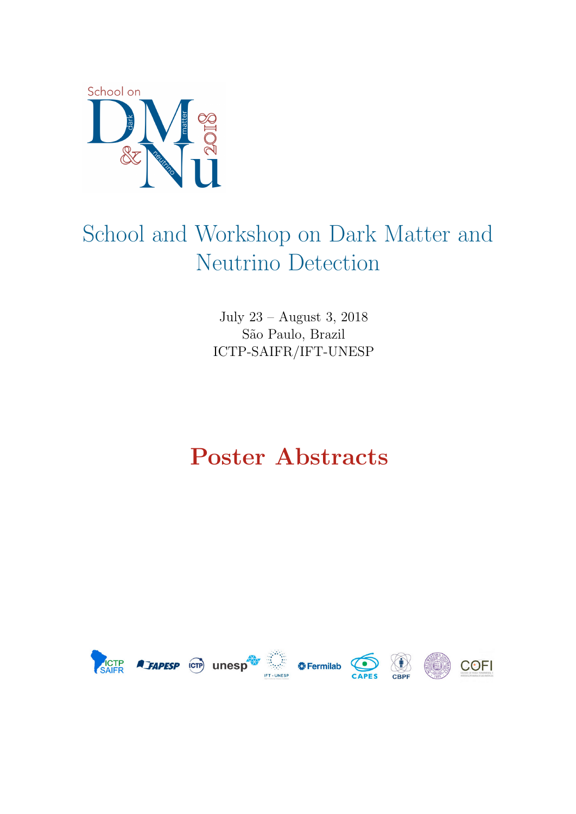

# School and Workshop on Dark Matter and Neutrino Detection

July 23 – August 3, 2018 São Paulo, Brazil ICTP-SAIFR/IFT-UNESP

## Poster Abstracts

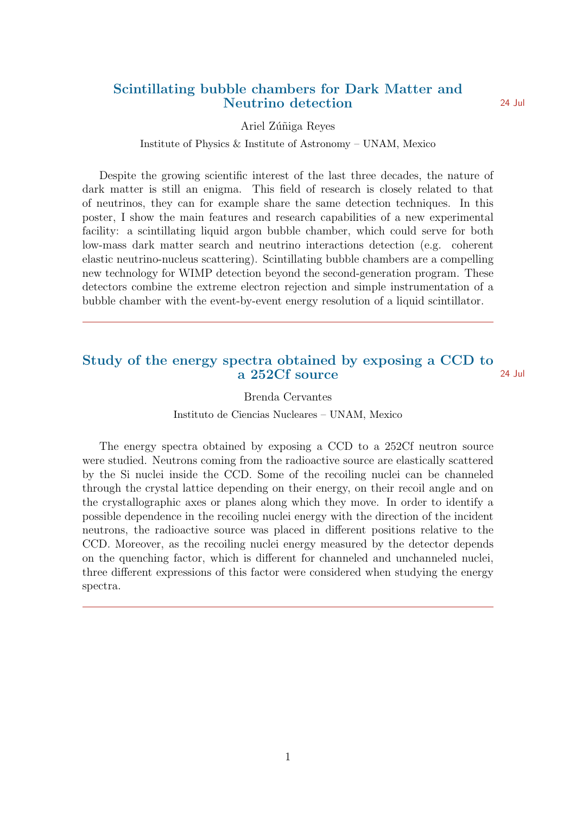## Scintillating bubble chambers for Dark Matter and Neutrino detection 24 Jul

#### Ariel Zúñiga Reyes

#### Institute of Physics & Institute of Astronomy – UNAM, Mexico

Despite the growing scientific interest of the last three decades, the nature of dark matter is still an enigma. This field of research is closely related to that of neutrinos, they can for example share the same detection techniques. In this poster, I show the main features and research capabilities of a new experimental facility: a scintillating liquid argon bubble chamber, which could serve for both low-mass dark matter search and neutrino interactions detection (e.g. coherent elastic neutrino-nucleus scattering). Scintillating bubble chambers are a compelling new technology for WIMP detection beyond the second-generation program. These detectors combine the extreme electron rejection and simple instrumentation of a bubble chamber with the event-by-event energy resolution of a liquid scintillator.

## Study of the energy spectra obtained by exposing a CCD to a 252Cf source 24 Jul

Brenda Cervantes

Instituto de Ciencias Nucleares – UNAM, Mexico

The energy spectra obtained by exposing a CCD to a 252Cf neutron source were studied. Neutrons coming from the radioactive source are elastically scattered by the Si nuclei inside the CCD. Some of the recoiling nuclei can be channeled through the crystal lattice depending on their energy, on their recoil angle and on the crystallographic axes or planes along which they move. In order to identify a possible dependence in the recoiling nuclei energy with the direction of the incident neutrons, the radioactive source was placed in different positions relative to the CCD. Moreover, as the recoiling nuclei energy measured by the detector depends on the quenching factor, which is different for channeled and unchanneled nuclei, three different expressions of this factor were considered when studying the energy spectra.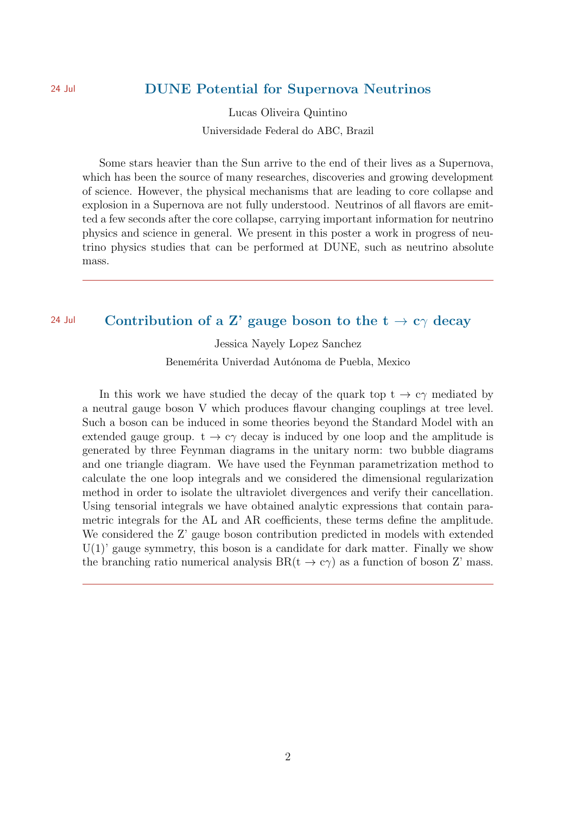## 24 Jul **DUNE Potential for Supernova Neutrinos**

Lucas Oliveira Quintino Universidade Federal do ABC, Brazil

Some stars heavier than the Sun arrive to the end of their lives as a Supernova, which has been the source of many researches, discoveries and growing development of science. However, the physical mechanisms that are leading to core collapse and explosion in a Supernova are not fully understood. Neutrinos of all flavors are emitted a few seconds after the core collapse, carrying important information for neutrino physics and science in general. We present in this poster a work in progress of neutrino physics studies that can be performed at DUNE, such as neutrino absolute mass.

## 24 Jul Contribution of a Z' gauge boson to the  $t \to c\gamma$  decay

Jessica Nayely Lopez Sanchez Benemérita Univerdad Autónoma de Puebla, Mexico

In this work we have studied the decay of the quark top  $t \to c\gamma$  mediated by a neutral gauge boson V which produces flavour changing couplings at tree level. Such a boson can be induced in some theories beyond the Standard Model with an extended gauge group.  $t \rightarrow c\gamma$  decay is induced by one loop and the amplitude is generated by three Feynman diagrams in the unitary norm: two bubble diagrams and one triangle diagram. We have used the Feynman parametrization method to calculate the one loop integrals and we considered the dimensional regularization method in order to isolate the ultraviolet divergences and verify their cancellation. Using tensorial integrals we have obtained analytic expressions that contain parametric integrals for the AL and AR coefficients, these terms define the amplitude. We considered the Z' gauge boson contribution predicted in models with extended  $U(1)$ ' gauge symmetry, this boson is a candidate for dark matter. Finally we show the branching ratio numerical analysis  $BR(t \to c\gamma)$  as a function of boson Z' mass.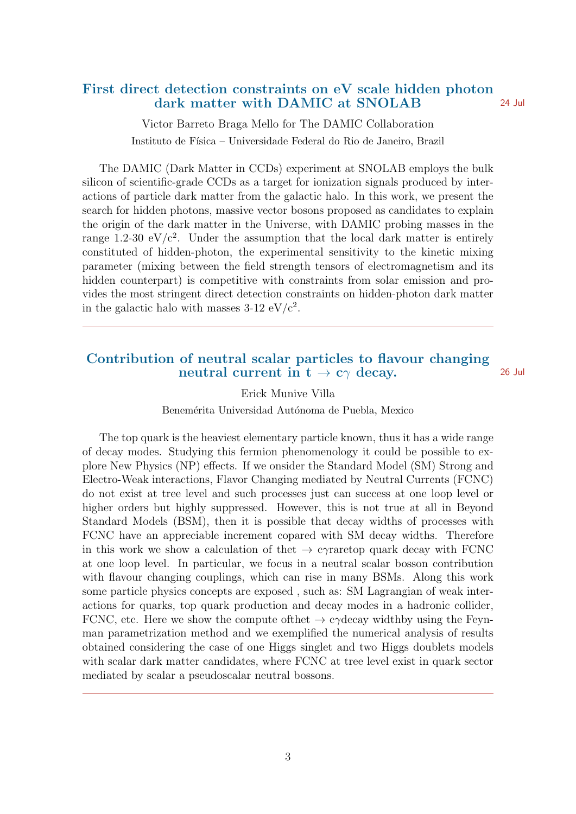## First direct detection constraints on eV scale hidden photon dark matter with DAMIC at SNOLAB 24 Jul

Victor Barreto Braga Mello for The DAMIC Collaboration Instituto de Física – Universidade Federal do Rio de Janeiro, Brazil

The DAMIC (Dark Matter in CCDs) experiment at SNOLAB employs the bulk silicon of scientific-grade CCDs as a target for ionization signals produced by interactions of particle dark matter from the galactic halo. In this work, we present the search for hidden photons, massive vector bosons proposed as candidates to explain the origin of the dark matter in the Universe, with DAMIC probing masses in the range 1.2-30 eV/ $c^2$ . Under the assumption that the local dark matter is entirely constituted of hidden-photon, the experimental sensitivity to the kinetic mixing parameter (mixing between the field strength tensors of electromagnetism and its hidden counterpart) is competitive with constraints from solar emission and provides the most stringent direct detection constraints on hidden-photon dark matter in the galactic halo with masses  $3-12 \mathrm{eV}/c^2$ .

## Contribution of neutral scalar particles to flavour changing neutral current in  $t \to c\gamma$  decay. 26 Jul

Erick Munive Villa

Benemérita Universidad Autónoma de Puebla, Mexico

The top quark is the heaviest elementary particle known, thus it has a wide range of decay modes. Studying this fermion phenomenology it could be possible to explore New Physics (NP) effects. If we onsider the Standard Model (SM) Strong and Electro-Weak interactions, Flavor Changing mediated by Neutral Currents (FCNC) do not exist at tree level and such processes just can success at one loop level or higher orders but highly suppressed. However, this is not true at all in Beyond Standard Models (BSM), then it is possible that decay widths of processes with FCNC have an appreciable increment copared with SM decay widths. Therefore in this work we show a calculation of the  $\rightarrow$  c $\gamma$ raretop quark decay with FCNC at one loop level. In particular, we focus in a neutral scalar bosson contribution with flavour changing couplings, which can rise in many BSMs. Along this work some particle physics concepts are exposed , such as: SM Lagrangian of weak interactions for quarks, top quark production and decay modes in a hadronic collider, FCNC, etc. Here we show the compute of the  $\rightarrow$  c $\gamma$ decay widthby using the Feynman parametrization method and we exemplified the numerical analysis of results obtained considering the case of one Higgs singlet and two Higgs doublets models with scalar dark matter candidates, where FCNC at tree level exist in quark sector mediated by scalar a pseudoscalar neutral bossons.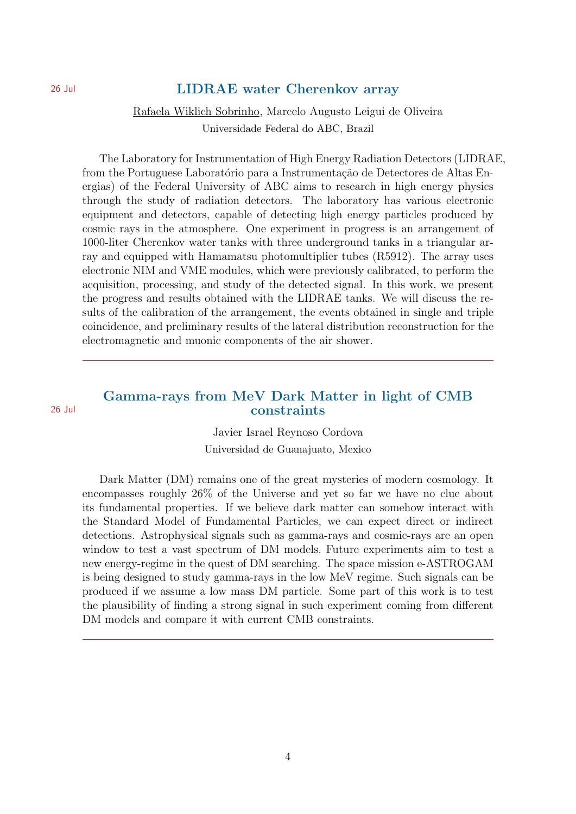#### 26 Jul **LIDRAE** water Cherenkov array

Rafaela Wiklich Sobrinho, Marcelo Augusto Leigui de Oliveira Universidade Federal do ABC, Brazil

The Laboratory for Instrumentation of High Energy Radiation Detectors (LIDRAE, from the Portuguese Laboratório para a Instrumentação de Detectores de Altas Energias) of the Federal University of ABC aims to research in high energy physics through the study of radiation detectors. The laboratory has various electronic equipment and detectors, capable of detecting high energy particles produced by cosmic rays in the atmosphere. One experiment in progress is an arrangement of 1000-liter Cherenkov water tanks with three underground tanks in a triangular array and equipped with Hamamatsu photomultiplier tubes (R5912). The array uses electronic NIM and VME modules, which were previously calibrated, to perform the acquisition, processing, and study of the detected signal. In this work, we present the progress and results obtained with the LIDRAE tanks. We will discuss the results of the calibration of the arrangement, the events obtained in single and triple coincidence, and preliminary results of the lateral distribution reconstruction for the electromagnetic and muonic components of the air shower.

## Gamma-rays from MeV Dark Matter in light of CMB 26 Jul constraints

Javier Israel Reynoso Cordova Universidad de Guanajuato, Mexico

Dark Matter (DM) remains one of the great mysteries of modern cosmology. It encompasses roughly 26% of the Universe and yet so far we have no clue about its fundamental properties. If we believe dark matter can somehow interact with the Standard Model of Fundamental Particles, we can expect direct or indirect detections. Astrophysical signals such as gamma-rays and cosmic-rays are an open window to test a vast spectrum of DM models. Future experiments aim to test a new energy-regime in the quest of DM searching. The space mission e-ASTROGAM is being designed to study gamma-rays in the low MeV regime. Such signals can be produced if we assume a low mass DM particle. Some part of this work is to test the plausibility of finding a strong signal in such experiment coming from different DM models and compare it with current CMB constraints.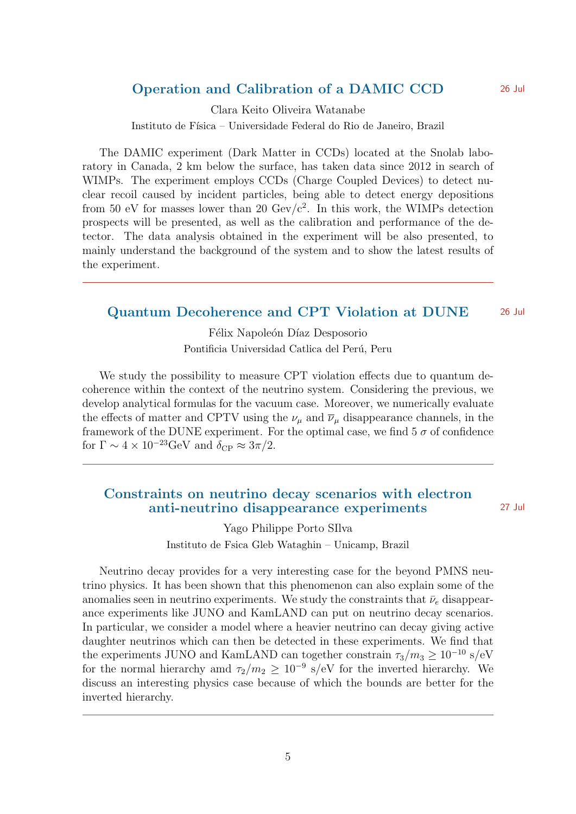## Operation and Calibration of a DAMIC CCD 26 Jul

Clara Keito Oliveira Watanabe Instituto de Física – Universidade Federal do Rio de Janeiro, Brazil

The DAMIC experiment (Dark Matter in CCDs) located at the Snolab laboratory in Canada, 2 km below the surface, has taken data since 2012 in search of WIMPs. The experiment employs CCDs (Charge Coupled Devices) to detect nuclear recoil caused by incident particles, being able to detect energy depositions from 50 eV for masses lower than 20  $\text{GeV}/c^2$ . In this work, the WIMPs detection prospects will be presented, as well as the calibration and performance of the detector. The data analysis obtained in the experiment will be also presented, to mainly understand the background of the system and to show the latest results of the experiment.

## Quantum Decoherence and CPT Violation at DUNE 26 Jul

Félix Napoleón Díaz Desposorio Pontificia Universidad Catlica del Perú, Peru

We study the possibility to measure CPT violation effects due to quantum decoherence within the context of the neutrino system. Considering the previous, we develop analytical formulas for the vacuum case. Moreover, we numerically evaluate the effects of matter and CPTV using the  $\nu_{\mu}$  and  $\overline{\nu}_{\mu}$  disappearance channels, in the framework of the DUNE experiment. For the optimal case, we find  $5\sigma$  of confidence for  $\Gamma \sim 4 \times 10^{-23} \text{GeV}$  and  $\delta_{\text{CP}} \approx 3\pi/2$ .

## Constraints on neutrino decay scenarios with electron anti-neutrino disappearance experiments 27 Jul

Yago Philippe Porto SIlva Instituto de Fsica Gleb Wataghin – Unicamp, Brazil

Neutrino decay provides for a very interesting case for the beyond PMNS neutrino physics. It has been shown that this phenomenon can also explain some of the anomalies seen in neutrino experiments. We study the constraints that  $\bar{\nu}_e$  disappearance experiments like JUNO and KamLAND can put on neutrino decay scenarios. In particular, we consider a model where a heavier neutrino can decay giving active daughter neutrinos which can then be detected in these experiments. We find that the experiments JUNO and KamLAND can together constrain  $\tau_3/m_3 \geq 10^{-10}$  s/eV for the normal hierarchy amd  $\tau_2/m_2 \geq 10^{-9}$  s/eV for the inverted hierarchy. We discuss an interesting physics case because of which the bounds are better for the inverted hierarchy.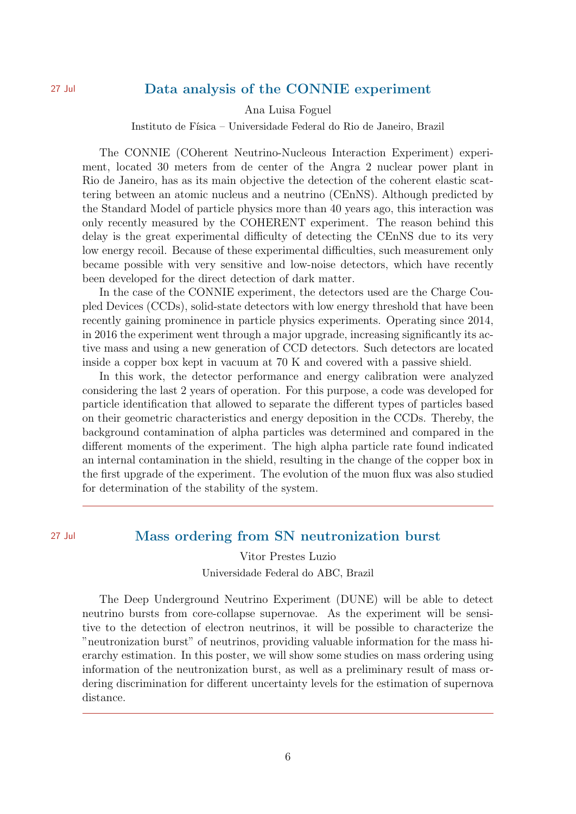## 27 Jul Data analysis of the CONNIE experiment

Ana Luisa Foguel

Instituto de Física – Universidade Federal do Rio de Janeiro, Brazil

The CONNIE (COherent Neutrino-Nucleous Interaction Experiment) experiment, located 30 meters from de center of the Angra 2 nuclear power plant in Rio de Janeiro, has as its main objective the detection of the coherent elastic scattering between an atomic nucleus and a neutrino (CEnNS). Although predicted by the Standard Model of particle physics more than 40 years ago, this interaction was only recently measured by the COHERENT experiment. The reason behind this delay is the great experimental difficulty of detecting the CEnNS due to its very low energy recoil. Because of these experimental difficulties, such measurement only became possible with very sensitive and low-noise detectors, which have recently been developed for the direct detection of dark matter.

In the case of the CONNIE experiment, the detectors used are the Charge Coupled Devices (CCDs), solid-state detectors with low energy threshold that have been recently gaining prominence in particle physics experiments. Operating since 2014, in 2016 the experiment went through a major upgrade, increasing significantly its active mass and using a new generation of CCD detectors. Such detectors are located inside a copper box kept in vacuum at 70 K and covered with a passive shield.

In this work, the detector performance and energy calibration were analyzed considering the last 2 years of operation. For this purpose, a code was developed for particle identification that allowed to separate the different types of particles based on their geometric characteristics and energy deposition in the CCDs. Thereby, the background contamination of alpha particles was determined and compared in the different moments of the experiment. The high alpha particle rate found indicated an internal contamination in the shield, resulting in the change of the copper box in the first upgrade of the experiment. The evolution of the muon flux was also studied for determination of the stability of the system.

## 27 Jul Mass ordering from SN neutronization burst

Vitor Prestes Luzio

Universidade Federal do ABC, Brazil

The Deep Underground Neutrino Experiment (DUNE) will be able to detect neutrino bursts from core-collapse supernovae. As the experiment will be sensitive to the detection of electron neutrinos, it will be possible to characterize the "neutronization burst" of neutrinos, providing valuable information for the mass hierarchy estimation. In this poster, we will show some studies on mass ordering using information of the neutronization burst, as well as a preliminary result of mass ordering discrimination for different uncertainty levels for the estimation of supernova distance.